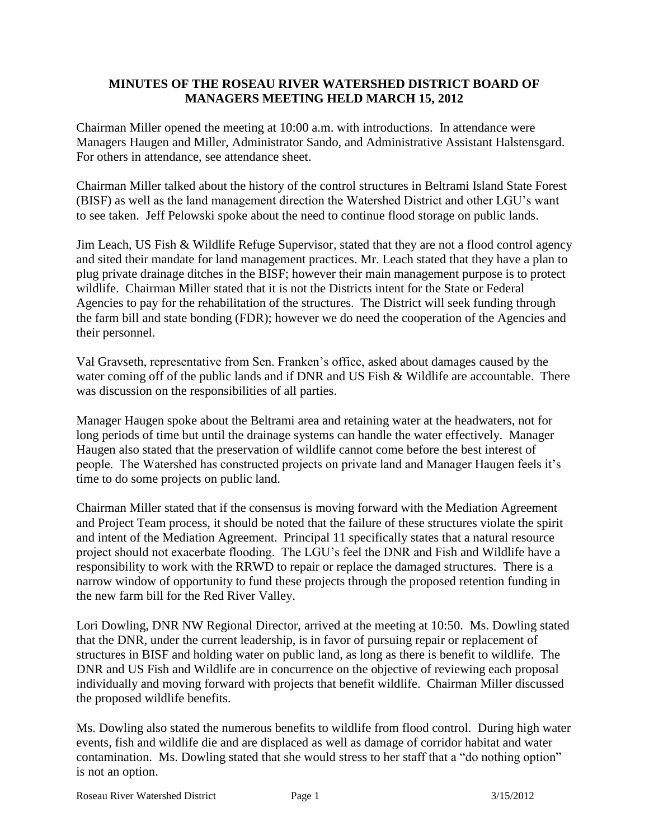## **MINUTES OF THE ROSEAU RIVER WATERSHED DISTRICT BOARD OF MANAGERS MEETING HELD MARCH 15, 2012**

Chairman Miller opened the meeting at 10:00 a.m. with introductions. In attendance were Managers Haugen and Miller, Administrator Sando, and Administrative Assistant Halstensgard. For others in attendance, see attendance sheet.

Chairman Miller talked about the history of the control structures in Beltrami Island State Forest (BISF) as well as the land management direction the Watershed District and other LGU's want to see taken. Jeff Pelowski spoke about the need to continue flood storage on public lands.

Jim Leach, US Fish & Wildlife Refuge Supervisor, stated that they are not a flood control agency and sited their mandate for land management practices. Mr. Leach stated that they have a plan to plug private drainage ditches in the BISF; however their main management purpose is to protect wildlife. Chairman Miller stated that it is not the Districts intent for the State or Federal Agencies to pay for the rehabilitation of the structures. The District will seek funding through the farm bill and state bonding (FDR); however we do need the cooperation of the Agencies and their personnel.

Val Gravseth, representative from Sen. Franken's office, asked about damages caused by the water coming off of the public lands and if DNR and US Fish & Wildlife are accountable. There was discussion on the responsibilities of all parties.

Manager Haugen spoke about the Beltrami area and retaining water at the headwaters, not for long periods of time but until the drainage systems can handle the water effectively. Manager Haugen also stated that the preservation of wildlife cannot come before the best interest of people. The Watershed has constructed projects on private land and Manager Haugen feels it's time to do some projects on public land.

Chairman Miller stated that if the consensus is moving forward with the Mediation Agreement and Project Team process, it should be noted that the failure of these structures violate the spirit and intent of the Mediation Agreement. Principal 11 specifically states that a natural resource project should not exacerbate flooding. The LGU's feel the DNR and Fish and Wildlife have a responsibility to work with the RRWD to repair or replace the damaged structures. There is a narrow window of opportunity to fund these projects through the proposed retention funding in the new farm bill for the Red River Valley.

Lori Dowling, DNR NW Regional Director, arrived at the meeting at 10:50. Ms. Dowling stated that the DNR, under the current leadership, is in favor of pursuing repair or replacement of structures in BISF and holding water on public land, as long as there is benefit to wildlife. The DNR and US Fish and Wildlife are in concurrence on the objective of reviewing each proposal individually and moving forward with projects that benefit wildlife. Chairman Miller discussed the proposed wildlife benefits.

Ms. Dowling also stated the numerous benefits to wildlife from flood control. During high water events, fish and wildlife die and are displaced as well as damage of corridor habitat and water contamination. Ms. Dowling stated that she would stress to her staff that a "do nothing option" is not an option.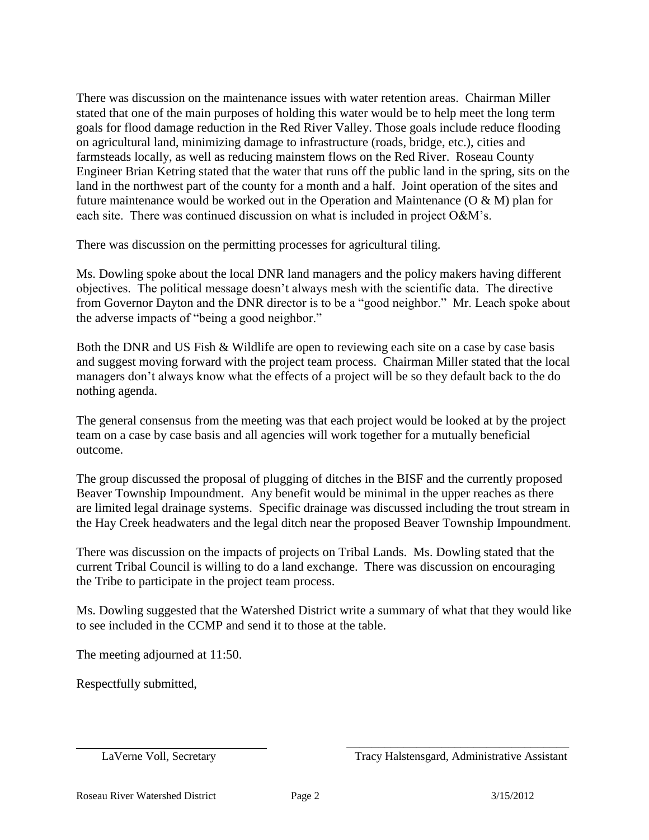There was discussion on the maintenance issues with water retention areas. Chairman Miller stated that one of the main purposes of holding this water would be to help meet the long term goals for flood damage reduction in the Red River Valley. Those goals include reduce flooding on agricultural land, minimizing damage to infrastructure (roads, bridge, etc.), cities and farmsteads locally, as well as reducing mainstem flows on the Red River. Roseau County Engineer Brian Ketring stated that the water that runs off the public land in the spring, sits on the land in the northwest part of the county for a month and a half. Joint operation of the sites and future maintenance would be worked out in the Operation and Maintenance  $(O & M)$  plan for each site. There was continued discussion on what is included in project O&M's.

There was discussion on the permitting processes for agricultural tiling.

Ms. Dowling spoke about the local DNR land managers and the policy makers having different objectives. The political message doesn't always mesh with the scientific data. The directive from Governor Dayton and the DNR director is to be a "good neighbor." Mr. Leach spoke about the adverse impacts of "being a good neighbor."

Both the DNR and US Fish & Wildlife are open to reviewing each site on a case by case basis and suggest moving forward with the project team process. Chairman Miller stated that the local managers don't always know what the effects of a project will be so they default back to the do nothing agenda.

The general consensus from the meeting was that each project would be looked at by the project team on a case by case basis and all agencies will work together for a mutually beneficial outcome.

The group discussed the proposal of plugging of ditches in the BISF and the currently proposed Beaver Township Impoundment. Any benefit would be minimal in the upper reaches as there are limited legal drainage systems. Specific drainage was discussed including the trout stream in the Hay Creek headwaters and the legal ditch near the proposed Beaver Township Impoundment.

There was discussion on the impacts of projects on Tribal Lands. Ms. Dowling stated that the current Tribal Council is willing to do a land exchange. There was discussion on encouraging the Tribe to participate in the project team process.

Ms. Dowling suggested that the Watershed District write a summary of what that they would like to see included in the CCMP and send it to those at the table.

The meeting adjourned at 11:50.

Respectfully submitted,